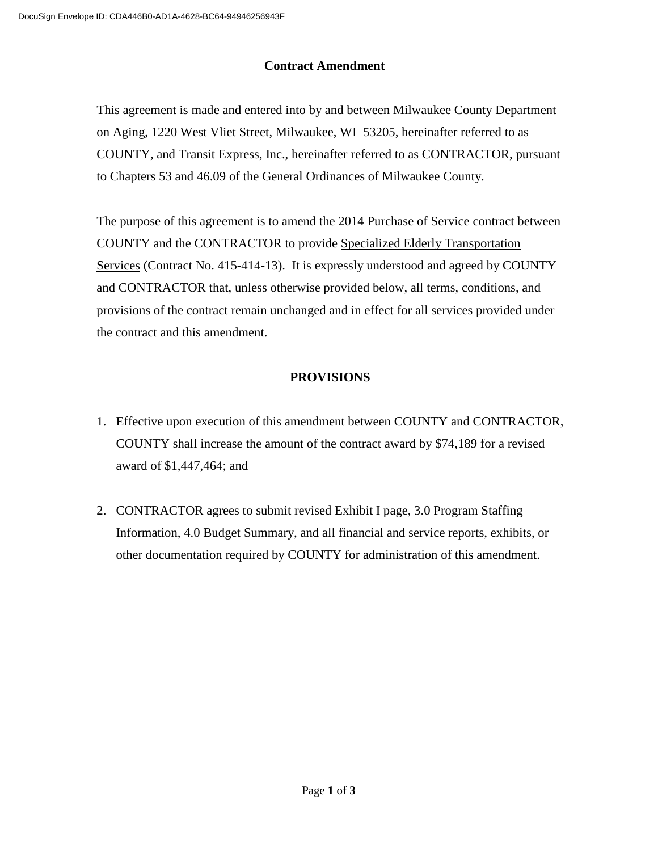# **Contract Amendment**

This agreement is made and entered into by and between Milwaukee County Department on Aging, 1220 West Vliet Street, Milwaukee, WI 53205, hereinafter referred to as COUNTY, and Transit Express, Inc., hereinafter referred to as CONTRACTOR, pursuant to Chapters 53 and 46.09 of the General Ordinances of Milwaukee County.

The purpose of this agreement is to amend the 2014 Purchase of Service contract between COUNTY and the CONTRACTOR to provide Specialized Elderly Transportation Services (Contract No. 415-414-13). It is expressly understood and agreed by COUNTY and CONTRACTOR that, unless otherwise provided below, all terms, conditions, and provisions of the contract remain unchanged and in effect for all services provided under the contract and this amendment.

# **PROVISIONS**

- 1. Effective upon execution of this amendment between COUNTY and CONTRACTOR, COUNTY shall increase the amount of the contract award by \$74,189 for a revised award of \$1,447,464; and
- 2. CONTRACTOR agrees to submit revised Exhibit I page, 3.0 Program Staffing Information, 4.0 Budget Summary, and all financial and service reports, exhibits, or other documentation required by COUNTY for administration of this amendment.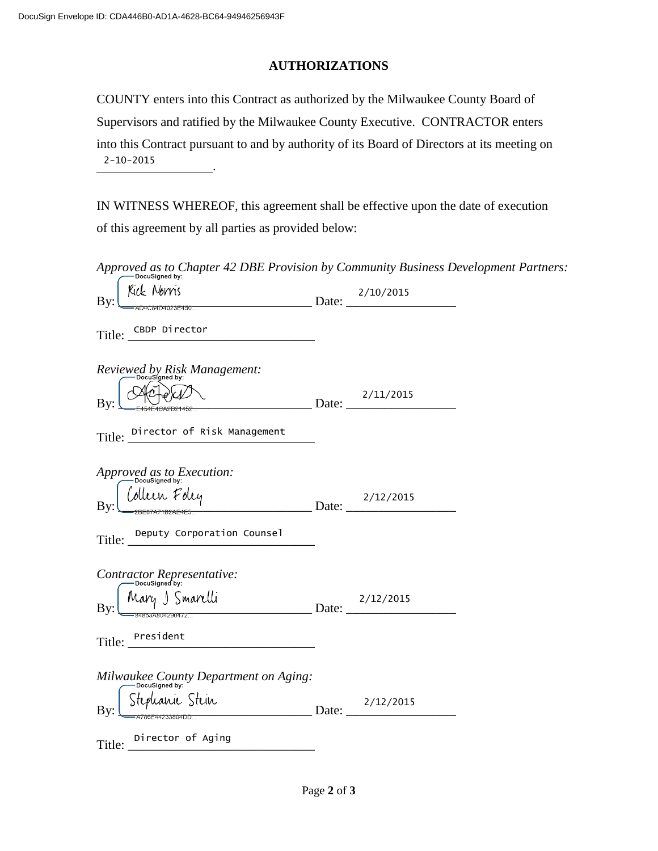# **AUTHORIZATIONS**

COUNTY enters into this Contract as authorized by the Milwaukee County Board of Supervisors and ratified by the Milwaukee County Executive. CONTRACTOR enters into this Contract pursuant to and by authority of its Board of Directors at its meeting on . 2-10-2015

IN WITNESS WHEREOF, this agreement shall be effective upon the date of execution of this agreement by all parties as provided below:

*Approved as to Chapter 42 DBE Provision by Community Business Development Partners:*<br>  $\overbrace{\mathbf{v} \cdot \mathbf{l}}^{\text{Docusigned by}}$ 

| Kıck Norns<br>$\frac{2/10/2015}{2}$ Date: $\frac{2}{10}$<br>By:      |  |
|----------------------------------------------------------------------|--|
| Title: CBDP Director<br>the control of the control of the control of |  |
| Reviewed by Risk Management:<br>pocusigned by:                       |  |
| Date: $\frac{2/11/2015}{2}$<br>By:                                   |  |
| Title: Director of Risk Management                                   |  |
| Approved as to Execution:                                            |  |
| Collein Foley 2/12/2015                                              |  |
| Title: Deputy Corporation Counsel                                    |  |
| Contractor Representative:                                           |  |
| Mary 5 Smartlli<br>= 34855A804290472<br>Bv                           |  |
| Title: President                                                     |  |
| $Milwaukee$ County Department on Aging:                              |  |
| Stephanic Stein<br>A700F44233004DD<br>By                             |  |
| Title: Director of Aging                                             |  |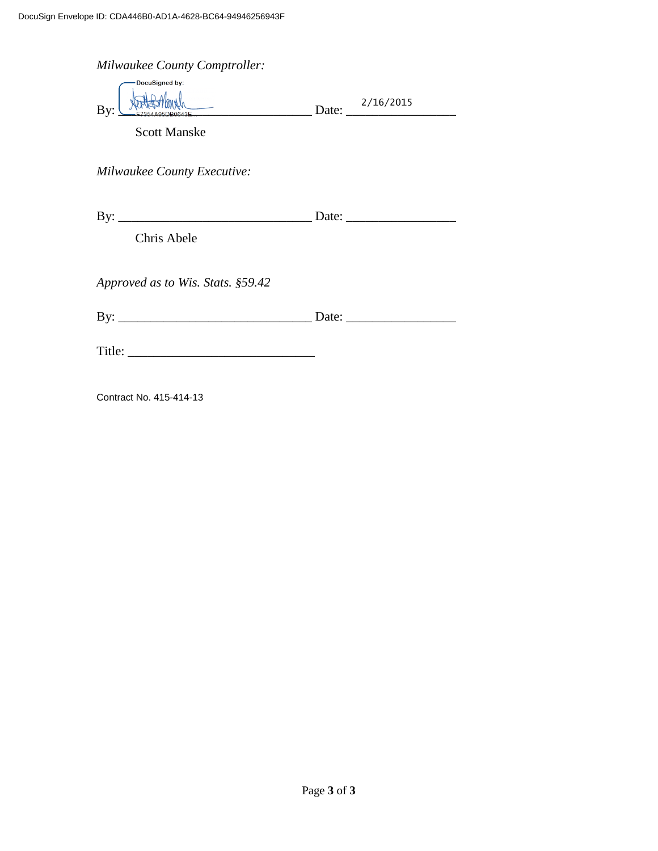| <b>Milwaukee County Comptroller:</b><br>DocuSigned by: |                                                        |
|--------------------------------------------------------|--------------------------------------------------------|
|                                                        | $\overbrace{\text{Date:}}$ Date: $\frac{2/16/2015}{2}$ |
| <b>Scott Manske</b>                                    |                                                        |
| <b>Milwaukee County Executive:</b>                     |                                                        |
|                                                        |                                                        |
| Chris Abele                                            |                                                        |
| Approved as to Wis. Stats. §59.42                      |                                                        |
|                                                        |                                                        |
|                                                        |                                                        |
| Contract No. 415-414-13                                |                                                        |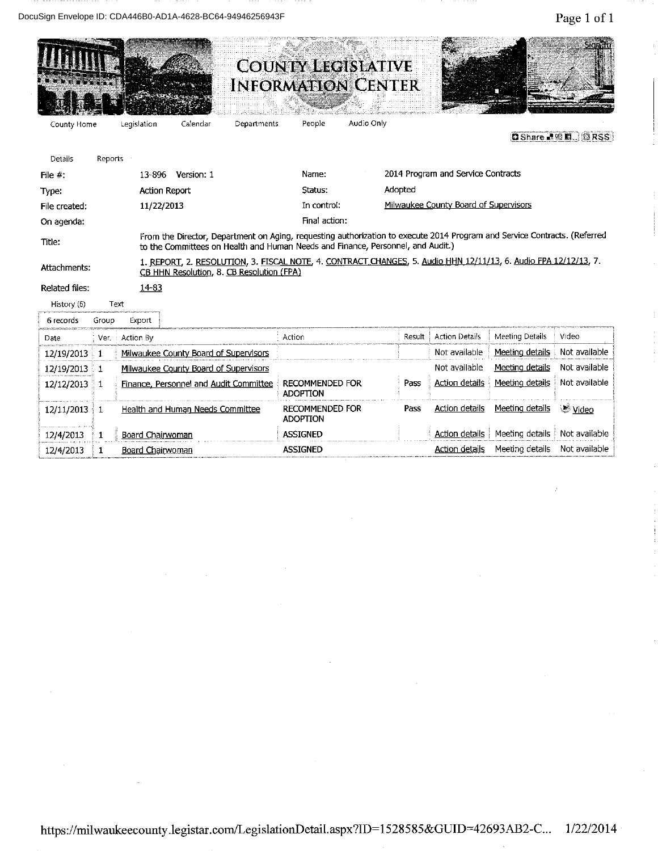DocuSign Envelope ID: CDA446B0-AD1A-4628-BC64-94946256943F

|                |              |                      | Caoigh Lincippo ID. ODATTODO AD IA TUZO DOOT JTJT0ZJ0                                                                                                                                                        |             |                                                        |            |         |                                       |                 | Lage 1 OI 1                       |
|----------------|--------------|----------------------|--------------------------------------------------------------------------------------------------------------------------------------------------------------------------------------------------------------|-------------|--------------------------------------------------------|------------|---------|---------------------------------------|-----------------|-----------------------------------|
|                |              |                      |                                                                                                                                                                                                              |             | <b>COUNTY LEGISLATIVE</b><br><b>INFORMATION CENTER</b> |            |         |                                       |                 | Signifin                          |
| County Home    |              | Legislation          | Calendar                                                                                                                                                                                                     | Departments | People                                                 | Audio Only |         |                                       |                 |                                   |
|                |              |                      |                                                                                                                                                                                                              |             |                                                        |            |         |                                       |                 | <b>D</b> Share 2 <b>D</b> B B RSS |
| Details        | Reports      |                      |                                                                                                                                                                                                              |             |                                                        |            |         |                                       |                 |                                   |
| File $#$ :     |              |                      | 13-896 Version: 1                                                                                                                                                                                            |             | Name:                                                  |            |         | 2014 Program and Service Contracts    |                 |                                   |
| Type:          |              | <b>Action Report</b> |                                                                                                                                                                                                              |             | Status:                                                |            | Adopted |                                       |                 |                                   |
| File created:  |              | 11/22/2013           |                                                                                                                                                                                                              |             | In control:                                            |            |         | Milwaukee County Board of Supervisors |                 |                                   |
| On agenda:     |              |                      |                                                                                                                                                                                                              |             | Final action:                                          |            |         |                                       |                 |                                   |
| Title:         |              |                      | From the Director, Department on Aging, requesting authorization to execute 2014 Program and Service Contracts. (Referred<br>to the Committees on Health and Human Needs and Finance, Personnel, and Audit.) |             |                                                        |            |         |                                       |                 |                                   |
| Attachments:   |              |                      | 1. REPORT, 2. RESOLUTION, 3. FISCAL NOTE, 4. CONTRACT CHANGES, 5. Audio HHN 12/11/13, 6. Audio FPA 12/12/13, 7.<br>CB HHN Resolution, 8. CB Resolution (FPA)                                                 |             |                                                        |            |         |                                       |                 |                                   |
| Related files: |              | 14-83                |                                                                                                                                                                                                              |             |                                                        |            |         |                                       |                 |                                   |
| History (6)    |              | Text                 |                                                                                                                                                                                                              |             |                                                        |            |         |                                       |                 |                                   |
| 6 records      | Group        | Export               |                                                                                                                                                                                                              |             |                                                        |            |         |                                       |                 |                                   |
| Date           | : Ver.       | Action By            |                                                                                                                                                                                                              |             | Action                                                 |            | Result  | <b>Action Details</b>                 | Meeting Details | Video                             |
| 12/19/2013     | $\mathbf{1}$ |                      | Milwaukee County Board of Supervisors                                                                                                                                                                        |             |                                                        |            |         | Not available                         | Meeting details | Not available                     |
| 12/19/2013     | $\pm 1$      |                      | Milwaukee County Board of Supervisors                                                                                                                                                                        |             |                                                        |            |         | Not available                         | Meeting details | Not available                     |
| $12/12/2013$ 1 |              |                      | Finance, Personnel and Audit Committee                                                                                                                                                                       |             | <b>RECOMMENDED FOR</b><br><b>ADOPTION</b>              |            | Pass    | <b>Action details</b>                 | Meeting details | Not available                     |
| $12/11/2013$ 1 |              |                      | Health and Human Needs Committee                                                                                                                                                                             |             | <b>RECOMMENDED FOR</b><br><b>ADOPTION</b>              |            | Pass    | Action details                        | Meeting details | <u>Video</u>                      |
| 12/4/2013      | 1            | Board Chairwoman     |                                                                                                                                                                                                              |             | <b>ASSIGNED</b>                                        |            |         | <b>Action details</b>                 | Meeting details | Not available                     |
| 12/4/2013      | 1            | Board Chairwoman     |                                                                                                                                                                                                              |             | <b>ASSIGNED</b>                                        |            |         | <b>Action details</b>                 | Meeting details | Not available                     |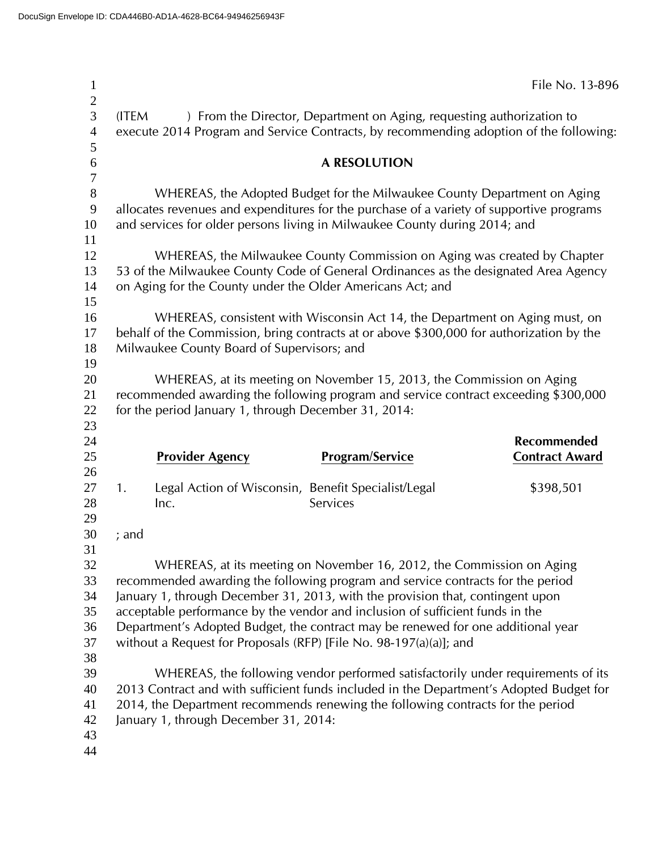| $\overline{2}$                        |                                                                                                                                                                                                                               |                                                                                                                                                                                                                                                    | File No. 13-896                      |  |  |
|---------------------------------------|-------------------------------------------------------------------------------------------------------------------------------------------------------------------------------------------------------------------------------|----------------------------------------------------------------------------------------------------------------------------------------------------------------------------------------------------------------------------------------------------|--------------------------------------|--|--|
| $\overline{3}$<br>$\overline{4}$<br>5 | (ITEM                                                                                                                                                                                                                         | ) From the Director, Department on Aging, requesting authorization to<br>execute 2014 Program and Service Contracts, by recommending adoption of the following:                                                                                    |                                      |  |  |
| 6                                     |                                                                                                                                                                                                                               | <b>A RESOLUTION</b>                                                                                                                                                                                                                                |                                      |  |  |
| $\boldsymbol{7}$<br>$8\,$<br>9<br>10  |                                                                                                                                                                                                                               | WHEREAS, the Adopted Budget for the Milwaukee County Department on Aging<br>allocates revenues and expenditures for the purchase of a variety of supportive programs<br>and services for older persons living in Milwaukee County during 2014; and |                                      |  |  |
| 11<br>12<br>13<br>14<br>15            | WHEREAS, the Milwaukee County Commission on Aging was created by Chapter<br>53 of the Milwaukee County Code of General Ordinances as the designated Area Agency<br>on Aging for the County under the Older Americans Act; and |                                                                                                                                                                                                                                                    |                                      |  |  |
| 16<br>17<br>18<br>19                  | Milwaukee County Board of Supervisors; and                                                                                                                                                                                    | WHEREAS, consistent with Wisconsin Act 14, the Department on Aging must, on<br>behalf of the Commission, bring contracts at or above \$300,000 for authorization by the                                                                            |                                      |  |  |
| 20<br>21<br>22                        | for the period January 1, through December 31, 2014:                                                                                                                                                                          | WHEREAS, at its meeting on November 15, 2013, the Commission on Aging<br>recommended awarding the following program and service contract exceeding \$300,000                                                                                       |                                      |  |  |
|                                       |                                                                                                                                                                                                                               |                                                                                                                                                                                                                                                    |                                      |  |  |
| 23<br>24<br>25                        | <b>Provider Agency</b>                                                                                                                                                                                                        | <b>Program/Service</b>                                                                                                                                                                                                                             | Recommended<br><b>Contract Award</b> |  |  |
| 26<br>27<br>28<br>29                  | 1.<br>Inc.                                                                                                                                                                                                                    | Legal Action of Wisconsin, Benefit Specialist/Legal<br>Services                                                                                                                                                                                    | \$398,501                            |  |  |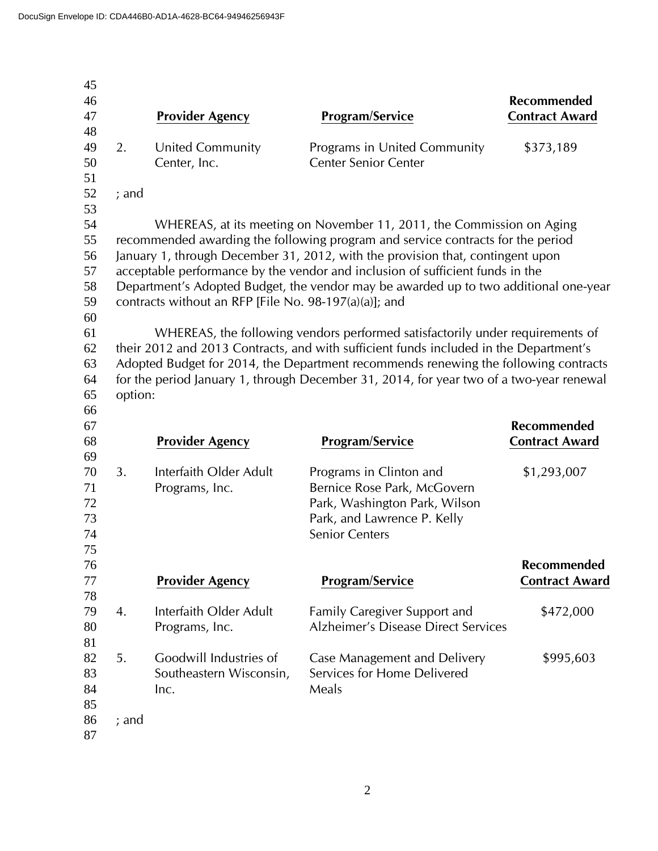| 45       |         |                                                       |                                                                                         |                       |
|----------|---------|-------------------------------------------------------|-----------------------------------------------------------------------------------------|-----------------------|
| 46       |         |                                                       |                                                                                         | Recommended           |
| 47       |         | <b>Provider Agency</b>                                | <b>Program/Service</b>                                                                  | <b>Contract Award</b> |
| 48       |         |                                                       |                                                                                         |                       |
| 49       | 2.      | United Community                                      | Programs in United Community                                                            | \$373,189             |
| 50       |         | Center, Inc.                                          | <b>Center Senior Center</b>                                                             |                       |
| 51       |         |                                                       |                                                                                         |                       |
| 52       | $;$ and |                                                       |                                                                                         |                       |
| 53       |         |                                                       |                                                                                         |                       |
| 54       |         |                                                       | WHEREAS, at its meeting on November 11, 2011, the Commission on Aging                   |                       |
| 55       |         |                                                       | recommended awarding the following program and service contracts for the period         |                       |
| 56       |         |                                                       | January 1, through December 31, 2012, with the provision that, contingent upon          |                       |
| 57       |         |                                                       | acceptable performance by the vendor and inclusion of sufficient funds in the           |                       |
| 58       |         |                                                       | Department's Adopted Budget, the vendor may be awarded up to two additional one-year    |                       |
| 59       |         | contracts without an RFP [File No. 98-197(a)(a)]; and |                                                                                         |                       |
| 60       |         |                                                       |                                                                                         |                       |
| 61       |         |                                                       | WHEREAS, the following vendors performed satisfactorily under requirements of           |                       |
| 62       |         |                                                       | their 2012 and 2013 Contracts, and with sufficient funds included in the Department's   |                       |
| 63       |         |                                                       | Adopted Budget for 2014, the Department recommends renewing the following contracts     |                       |
| 64       |         |                                                       | for the period January 1, through December 31, 2014, for year two of a two-year renewal |                       |
| 65       | option: |                                                       |                                                                                         |                       |
| 66       |         |                                                       |                                                                                         |                       |
|          |         |                                                       |                                                                                         |                       |
| 67       |         |                                                       |                                                                                         | Recommended           |
| 68       |         | <b>Provider Agency</b>                                | <b>Program/Service</b>                                                                  | <b>Contract Award</b> |
| 69       |         |                                                       |                                                                                         |                       |
| 70       | 3.      | Interfaith Older Adult                                | Programs in Clinton and                                                                 | \$1,293,007           |
| 71       |         | Programs, Inc.                                        | Bernice Rose Park, McGovern                                                             |                       |
| 72       |         |                                                       | Park, Washington Park, Wilson                                                           |                       |
| 73       |         |                                                       | Park, and Lawrence P. Kelly                                                             |                       |
| 74       |         |                                                       | <b>Senior Centers</b>                                                                   |                       |
| 75       |         |                                                       |                                                                                         |                       |
| 76       |         |                                                       |                                                                                         | Recommended           |
| 77       |         | <b>Provider Agency</b>                                | <b>Program/Service</b>                                                                  | <b>Contract Award</b> |
| 78       |         |                                                       |                                                                                         |                       |
| 79       | 4.      | Interfaith Older Adult                                | <b>Family Caregiver Support and</b>                                                     | \$472,000             |
| 80       |         | Programs, Inc.                                        | <b>Alzheimer's Disease Direct Services</b>                                              |                       |
| 81       |         |                                                       |                                                                                         |                       |
| 82       | 5.      | Goodwill Industries of                                | Case Management and Delivery                                                            | \$995,603             |
| 83       |         | Southeastern Wisconsin,                               | Services for Home Delivered                                                             |                       |
| 84       |         | Inc.                                                  | Meals                                                                                   |                       |
| 85       |         |                                                       |                                                                                         |                       |
| 86<br>87 | $;$ and |                                                       |                                                                                         |                       |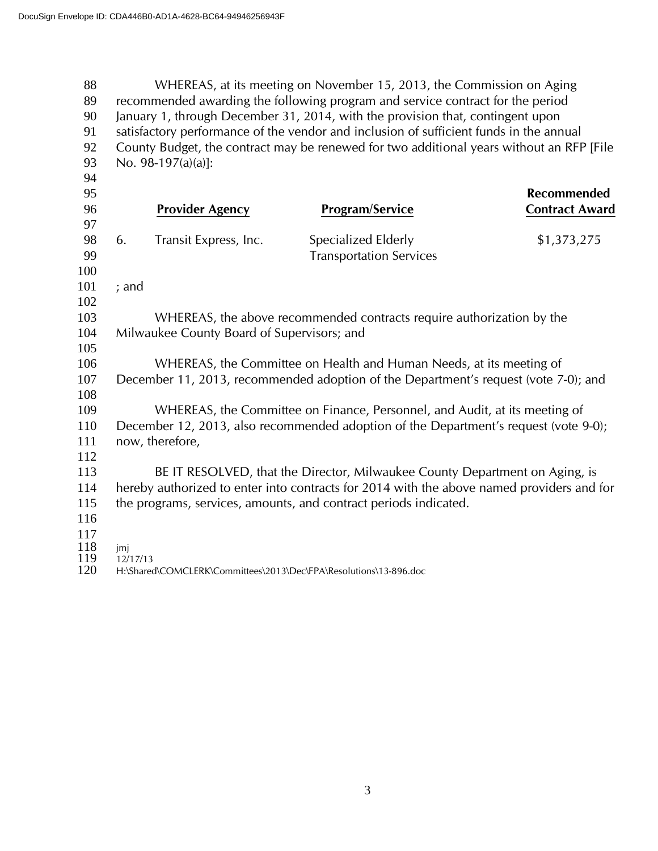WHEREAS, at its meeting on November 15, 2013, the Commission on Aging recommended awarding the following program and service contract for the period January 1, through December 31, 2014, with the provision that, contingent upon satisfactory performance of the vendor and inclusion of sufficient funds in the annual County Budget, the contract may be renewed for two additional years without an RFP [File No. 98-197(a)(a)]: **Recommended Provider Agency Program/Service Contract Award** 98 6. Transit Express, Inc. Specialized Elderly 51,373,275 Transportation Services ; and WHEREAS, the above recommended contracts require authorization by the Milwaukee County Board of Supervisors; and WHEREAS, the Committee on Health and Human Needs, at its meeting of December 11, 2013, recommended adoption of the Department's request (vote 7-0); and WHEREAS, the Committee on Finance, Personnel, and Audit, at its meeting of December 12, 2013, also recommended adoption of the Department's request (vote 9-0); 111 now, therefore, BE IT RESOLVED, that the Director, Milwaukee County Department on Aging, is hereby authorized to enter into contracts for 2014 with the above named providers and for the programs, services, amounts, and contract periods indicated.  $\frac{118}{119}$  jmj 119 12/17/13<br>120 H:\Shared H:\Shared\COMCLERK\Committees\2013\Dec\FPA\Resolutions\13-896.doc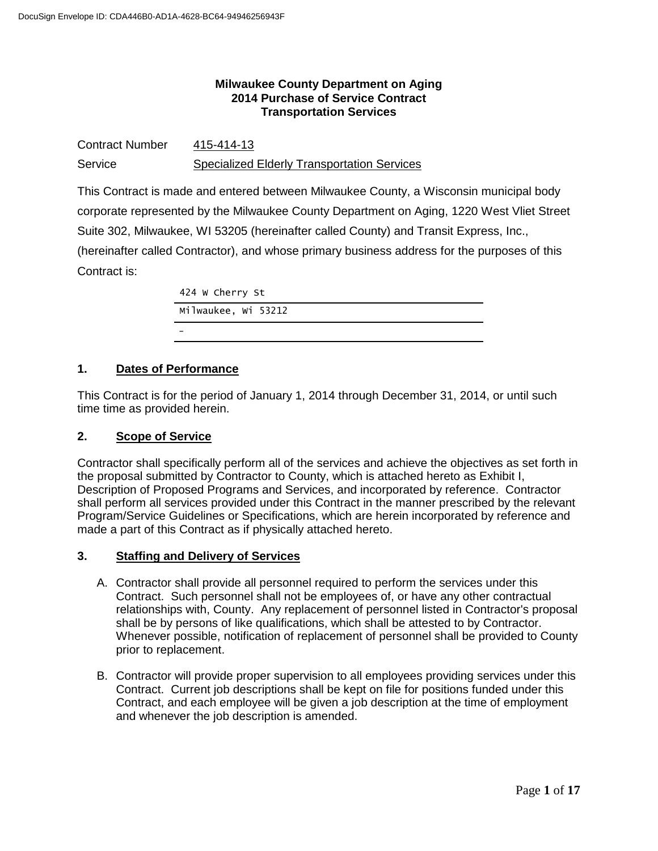# **Milwaukee County Department on Aging 2014 Purchase of Service Contract Transportation Services**

| <b>Contract Number</b> | 415-414-13                                         |
|------------------------|----------------------------------------------------|
| Service                | <b>Specialized Elderly Transportation Services</b> |

This Contract is made and entered between Milwaukee County, a Wisconsin municipal body corporate represented by the Milwaukee County Department on Aging, 1220 West Vliet Street Suite 302, Milwaukee, WI 53205 (hereinafter called County) and Transit Express, Inc., (hereinafter called Contractor), and whose primary business address for the purposes of this Contract is:

| 424 W Cherry St     |
|---------------------|
| Milwaukee, Wi 53212 |
|                     |

# **1. Dates of Performance**

This Contract is for the period of January 1, 2014 through December 31, 2014, or until such time time as provided herein.

# **2. Scope of Service**

Contractor shall specifically perform all of the services and achieve the objectives as set forth in the proposal submitted by Contractor to County, which is attached hereto as Exhibit I, Description of Proposed Programs and Services, and incorporated by reference. Contractor shall perform all services provided under this Contract in the manner prescribed by the relevant Program/Service Guidelines or Specifications, which are herein incorporated by reference and made a part of this Contract as if physically attached hereto.

# **3. Staffing and Delivery of Services**

- A. Contractor shall provide all personnel required to perform the services under this Contract. Such personnel shall not be employees of, or have any other contractual relationships with, County. Any replacement of personnel listed in Contractor's proposal shall be by persons of like qualifications, which shall be attested to by Contractor. Whenever possible, notification of replacement of personnel shall be provided to County prior to replacement.
- B. Contractor will provide proper supervision to all employees providing services under this Contract. Current job descriptions shall be kept on file for positions funded under this Contract, and each employee will be given a job description at the time of employment and whenever the job description is amended.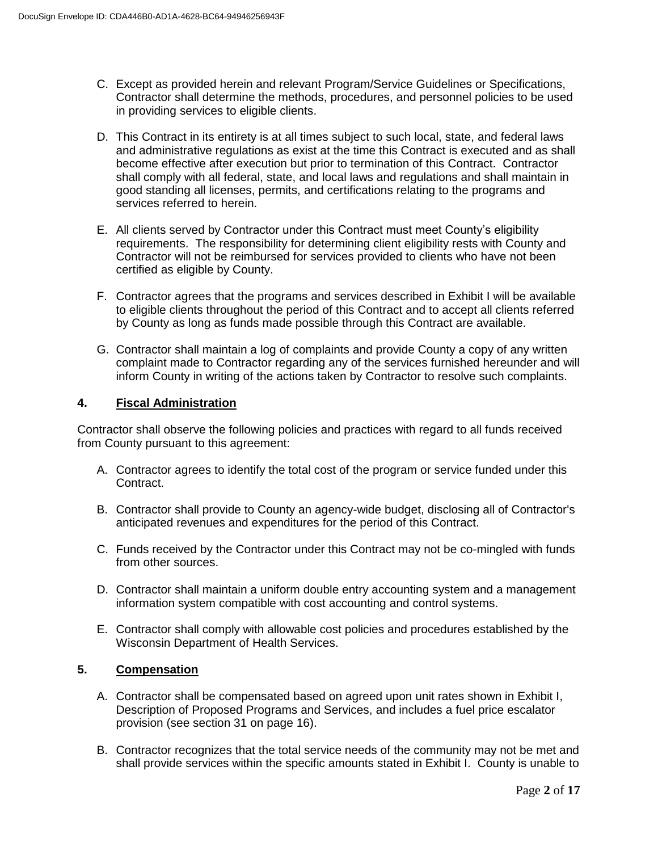- C. Except as provided herein and relevant Program/Service Guidelines or Specifications, Contractor shall determine the methods, procedures, and personnel policies to be used in providing services to eligible clients.
- D. This Contract in its entirety is at all times subject to such local, state, and federal laws and administrative regulations as exist at the time this Contract is executed and as shall become effective after execution but prior to termination of this Contract. Contractor shall comply with all federal, state, and local laws and regulations and shall maintain in good standing all licenses, permits, and certifications relating to the programs and services referred to herein.
- E. All clients served by Contractor under this Contract must meet County's eligibility requirements. The responsibility for determining client eligibility rests with County and Contractor will not be reimbursed for services provided to clients who have not been certified as eligible by County.
- F. Contractor agrees that the programs and services described in Exhibit I will be available to eligible clients throughout the period of this Contract and to accept all clients referred by County as long as funds made possible through this Contract are available.
- G. Contractor shall maintain a log of complaints and provide County a copy of any written complaint made to Contractor regarding any of the services furnished hereunder and will inform County in writing of the actions taken by Contractor to resolve such complaints.

# **4. Fiscal Administration**

Contractor shall observe the following policies and practices with regard to all funds received from County pursuant to this agreement:

- A. Contractor agrees to identify the total cost of the program or service funded under this Contract.
- B. Contractor shall provide to County an agency-wide budget, disclosing all of Contractor's anticipated revenues and expenditures for the period of this Contract.
- C. Funds received by the Contractor under this Contract may not be co-mingled with funds from other sources.
- D. Contractor shall maintain a uniform double entry accounting system and a management information system compatible with cost accounting and control systems.
- E. Contractor shall comply with allowable cost policies and procedures established by the Wisconsin Department of Health Services.

# **5. Compensation**

- A. Contractor shall be compensated based on agreed upon unit rates shown in Exhibit I, Description of Proposed Programs and Services, and includes a fuel price escalator provision (see section 31 on page 16).
- B. Contractor recognizes that the total service needs of the community may not be met and shall provide services within the specific amounts stated in Exhibit I. County is unable to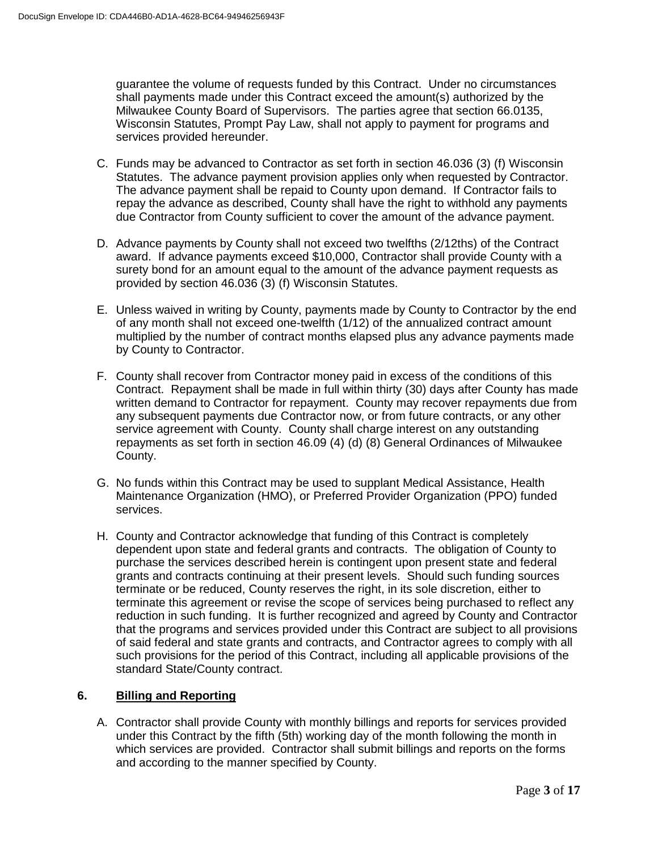guarantee the volume of requests funded by this Contract. Under no circumstances shall payments made under this Contract exceed the amount(s) authorized by the Milwaukee County Board of Supervisors. The parties agree that section 66.0135, Wisconsin Statutes, Prompt Pay Law, shall not apply to payment for programs and services provided hereunder.

- C. Funds may be advanced to Contractor as set forth in section 46.036 (3) (f) Wisconsin Statutes. The advance payment provision applies only when requested by Contractor. The advance payment shall be repaid to County upon demand. If Contractor fails to repay the advance as described, County shall have the right to withhold any payments due Contractor from County sufficient to cover the amount of the advance payment.
- D. Advance payments by County shall not exceed two twelfths (2/12ths) of the Contract award. If advance payments exceed \$10,000, Contractor shall provide County with a surety bond for an amount equal to the amount of the advance payment requests as provided by section 46.036 (3) (f) Wisconsin Statutes.
- E. Unless waived in writing by County, payments made by County to Contractor by the end of any month shall not exceed one-twelfth (1/12) of the annualized contract amount multiplied by the number of contract months elapsed plus any advance payments made by County to Contractor.
- F. County shall recover from Contractor money paid in excess of the conditions of this Contract. Repayment shall be made in full within thirty (30) days after County has made written demand to Contractor for repayment. County may recover repayments due from any subsequent payments due Contractor now, or from future contracts, or any other service agreement with County. County shall charge interest on any outstanding repayments as set forth in section 46.09 (4) (d) (8) General Ordinances of Milwaukee County.
- G. No funds within this Contract may be used to supplant Medical Assistance, Health Maintenance Organization (HMO), or Preferred Provider Organization (PPO) funded services.
- H. County and Contractor acknowledge that funding of this Contract is completely dependent upon state and federal grants and contracts. The obligation of County to purchase the services described herein is contingent upon present state and federal grants and contracts continuing at their present levels. Should such funding sources terminate or be reduced, County reserves the right, in its sole discretion, either to terminate this agreement or revise the scope of services being purchased to reflect any reduction in such funding. It is further recognized and agreed by County and Contractor that the programs and services provided under this Contract are subject to all provisions of said federal and state grants and contracts, and Contractor agrees to comply with all such provisions for the period of this Contract, including all applicable provisions of the standard State/County contract.

# **6. Billing and Reporting**

A. Contractor shall provide County with monthly billings and reports for services provided under this Contract by the fifth (5th) working day of the month following the month in which services are provided. Contractor shall submit billings and reports on the forms and according to the manner specified by County.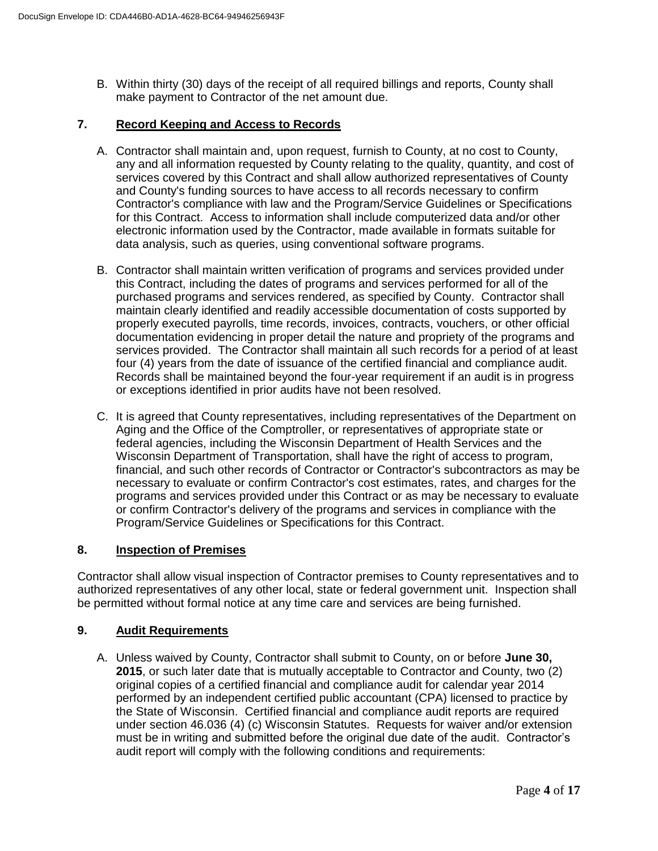B. Within thirty (30) days of the receipt of all required billings and reports, County shall make payment to Contractor of the net amount due.

# **7. Record Keeping and Access to Records**

- A. Contractor shall maintain and, upon request, furnish to County, at no cost to County, any and all information requested by County relating to the quality, quantity, and cost of services covered by this Contract and shall allow authorized representatives of County and County's funding sources to have access to all records necessary to confirm Contractor's compliance with law and the Program/Service Guidelines or Specifications for this Contract. Access to information shall include computerized data and/or other electronic information used by the Contractor, made available in formats suitable for data analysis, such as queries, using conventional software programs.
- B. Contractor shall maintain written verification of programs and services provided under this Contract, including the dates of programs and services performed for all of the purchased programs and services rendered, as specified by County. Contractor shall maintain clearly identified and readily accessible documentation of costs supported by properly executed payrolls, time records, invoices, contracts, vouchers, or other official documentation evidencing in proper detail the nature and propriety of the programs and services provided. The Contractor shall maintain all such records for a period of at least four (4) years from the date of issuance of the certified financial and compliance audit. Records shall be maintained beyond the four-year requirement if an audit is in progress or exceptions identified in prior audits have not been resolved.
- C. It is agreed that County representatives, including representatives of the Department on Aging and the Office of the Comptroller, or representatives of appropriate state or federal agencies, including the Wisconsin Department of Health Services and the Wisconsin Department of Transportation, shall have the right of access to program, financial, and such other records of Contractor or Contractor's subcontractors as may be necessary to evaluate or confirm Contractor's cost estimates, rates, and charges for the programs and services provided under this Contract or as may be necessary to evaluate or confirm Contractor's delivery of the programs and services in compliance with the Program/Service Guidelines or Specifications for this Contract.

## **8. Inspection of Premises**

Contractor shall allow visual inspection of Contractor premises to County representatives and to authorized representatives of any other local, state or federal government unit. Inspection shall be permitted without formal notice at any time care and services are being furnished.

#### **9. Audit Requirements**

A. Unless waived by County, Contractor shall submit to County, on or before **June 30, 2015**, or such later date that is mutually acceptable to Contractor and County, two (2) original copies of a certified financial and compliance audit for calendar year 2014 performed by an independent certified public accountant (CPA) licensed to practice by the State of Wisconsin. Certified financial and compliance audit reports are required under section 46.036 (4) (c) Wisconsin Statutes. Requests for waiver and/or extension must be in writing and submitted before the original due date of the audit. Contractor's audit report will comply with the following conditions and requirements: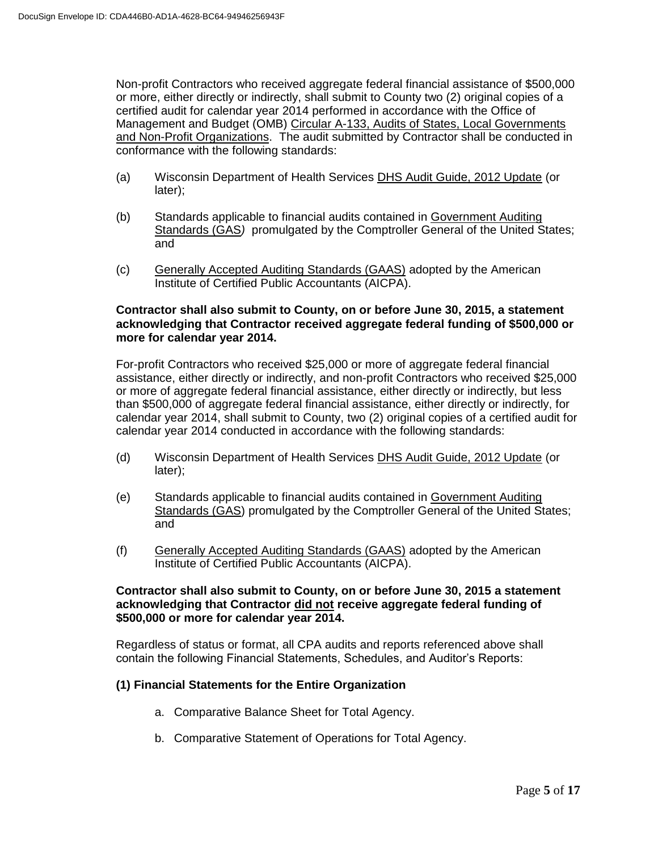Non-profit Contractors who received aggregate federal financial assistance of \$500,000 or more, either directly or indirectly, shall submit to County two (2) original copies of a certified audit for calendar year 2014 performed in accordance with the Office of Management and Budget (OMB) Circular A-133, Audits of States, Local Governments and Non-Profit Organizations. The audit submitted by Contractor shall be conducted in conformance with the following standards:

- (a) Wisconsin Department of Health Services DHS Audit Guide, 2012 Update (or later);
- (b) Standards applicable to financial audits contained in Government Auditing Standards (GAS*)* promulgated by the Comptroller General of the United States; and
- (c) Generally Accepted Auditing Standards (GAAS) adopted by the American Institute of Certified Public Accountants (AICPA).

## **Contractor shall also submit to County, on or before June 30, 2015, a statement acknowledging that Contractor received aggregate federal funding of \$500,000 or more for calendar year 2014.**

For-profit Contractors who received \$25,000 or more of aggregate federal financial assistance, either directly or indirectly, and non-profit Contractors who received \$25,000 or more of aggregate federal financial assistance, either directly or indirectly, but less than \$500,000 of aggregate federal financial assistance, either directly or indirectly, for calendar year 2014, shall submit to County, two (2) original copies of a certified audit for calendar year 2014 conducted in accordance with the following standards:

- (d) Wisconsin Department of Health Services DHS Audit Guide, 2012 Update (or later);
- (e) Standards applicable to financial audits contained in Government Auditing Standards (GAS) promulgated by the Comptroller General of the United States; and
- (f) Generally Accepted Auditing Standards (GAAS) adopted by the American Institute of Certified Public Accountants (AICPA).

### **Contractor shall also submit to County, on or before June 30, 2015 a statement acknowledging that Contractor did not receive aggregate federal funding of \$500,000 or more for calendar year 2014.**

Regardless of status or format, all CPA audits and reports referenced above shall contain the following Financial Statements, Schedules, and Auditor's Reports:

# **(1) Financial Statements for the Entire Organization**

- a. Comparative Balance Sheet for Total Agency.
- b. Comparative Statement of Operations for Total Agency.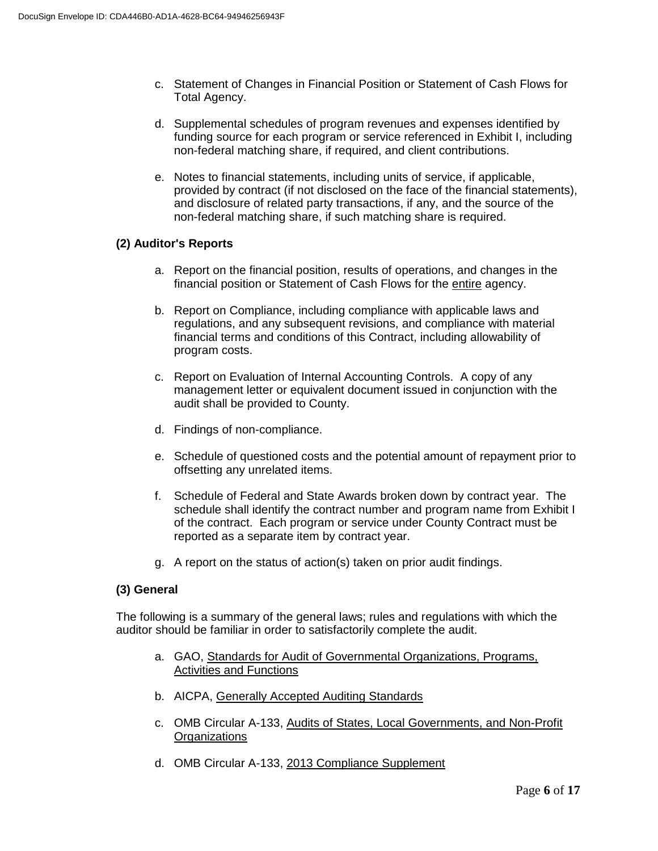- c. Statement of Changes in Financial Position or Statement of Cash Flows for Total Agency.
- d. Supplemental schedules of program revenues and expenses identified by funding source for each program or service referenced in Exhibit I, including non-federal matching share, if required, and client contributions.
- e. Notes to financial statements, including units of service, if applicable, provided by contract (if not disclosed on the face of the financial statements), and disclosure of related party transactions, if any, and the source of the non-federal matching share, if such matching share is required.

# **(2) Auditor's Reports**

- a. Report on the financial position, results of operations, and changes in the financial position or Statement of Cash Flows for the entire agency.
- b. Report on Compliance, including compliance with applicable laws and regulations, and any subsequent revisions, and compliance with material financial terms and conditions of this Contract, including allowability of program costs.
- c. Report on Evaluation of Internal Accounting Controls. A copy of any management letter or equivalent document issued in conjunction with the audit shall be provided to County.
- d. Findings of non-compliance.
- e. Schedule of questioned costs and the potential amount of repayment prior to offsetting any unrelated items.
- f. Schedule of Federal and State Awards broken down by contract year. The schedule shall identify the contract number and program name from Exhibit I of the contract. Each program or service under County Contract must be reported as a separate item by contract year.
- g. A report on the status of action(s) taken on prior audit findings.

# **(3) General**

The following is a summary of the general laws; rules and regulations with which the auditor should be familiar in order to satisfactorily complete the audit.

- a. GAO, Standards for Audit of Governmental Organizations, Programs, Activities and Functions
- b. AICPA, Generally Accepted Auditing Standards
- c. OMB Circular A-133, Audits of States, Local Governments, and Non-Profit **Organizations**
- d. OMB Circular A-133, 2013 Compliance Supplement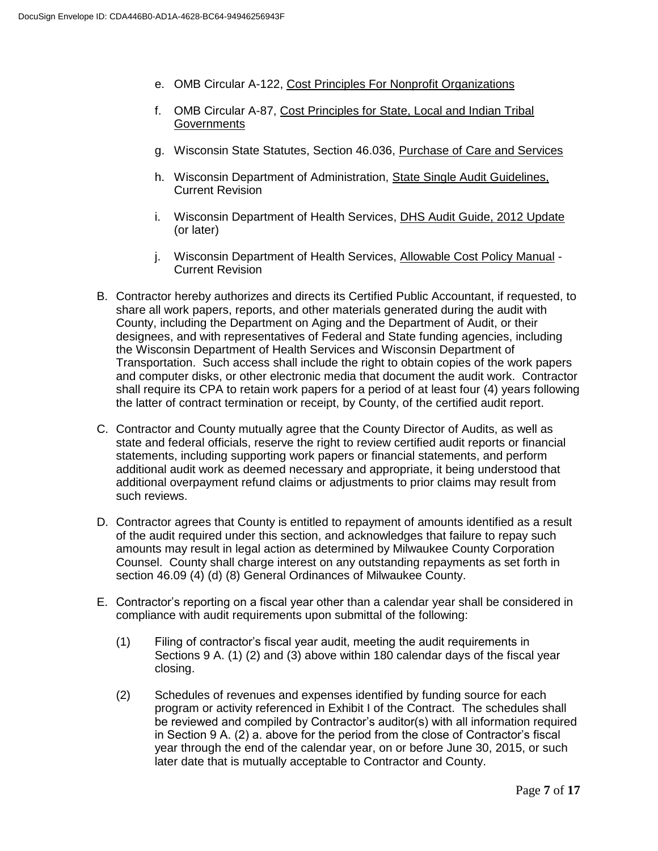- e. OMB Circular A-122, Cost Principles For Nonprofit Organizations
- f. OMB Circular A-87, Cost Principles for State, Local and Indian Tribal **Governments**
- g. Wisconsin State Statutes, Section 46.036, Purchase of Care and Services
- h. Wisconsin Department of Administration, State Single Audit Guidelines, Current Revision
- i. Wisconsin Department of Health Services, DHS Audit Guide, 2012 Update (or later)
- j. Wisconsin Department of Health Services, Allowable Cost Policy Manual Current Revision
- B. Contractor hereby authorizes and directs its Certified Public Accountant, if requested, to share all work papers, reports, and other materials generated during the audit with County, including the Department on Aging and the Department of Audit, or their designees, and with representatives of Federal and State funding agencies, including the Wisconsin Department of Health Services and Wisconsin Department of Transportation. Such access shall include the right to obtain copies of the work papers and computer disks, or other electronic media that document the audit work. Contractor shall require its CPA to retain work papers for a period of at least four (4) years following the latter of contract termination or receipt, by County, of the certified audit report.
- C. Contractor and County mutually agree that the County Director of Audits, as well as state and federal officials, reserve the right to review certified audit reports or financial statements, including supporting work papers or financial statements, and perform additional audit work as deemed necessary and appropriate, it being understood that additional overpayment refund claims or adjustments to prior claims may result from such reviews.
- D. Contractor agrees that County is entitled to repayment of amounts identified as a result of the audit required under this section, and acknowledges that failure to repay such amounts may result in legal action as determined by Milwaukee County Corporation Counsel. County shall charge interest on any outstanding repayments as set forth in section 46.09 (4) (d) (8) General Ordinances of Milwaukee County.
- E. Contractor's reporting on a fiscal year other than a calendar year shall be considered in compliance with audit requirements upon submittal of the following:
	- (1) Filing of contractor's fiscal year audit, meeting the audit requirements in Sections 9 A. (1) (2) and (3) above within 180 calendar days of the fiscal year closing.
	- (2) Schedules of revenues and expenses identified by funding source for each program or activity referenced in Exhibit I of the Contract. The schedules shall be reviewed and compiled by Contractor's auditor(s) with all information required in Section 9 A. (2) a. above for the period from the close of Contractor's fiscal year through the end of the calendar year, on or before June 30, 2015, or such later date that is mutually acceptable to Contractor and County.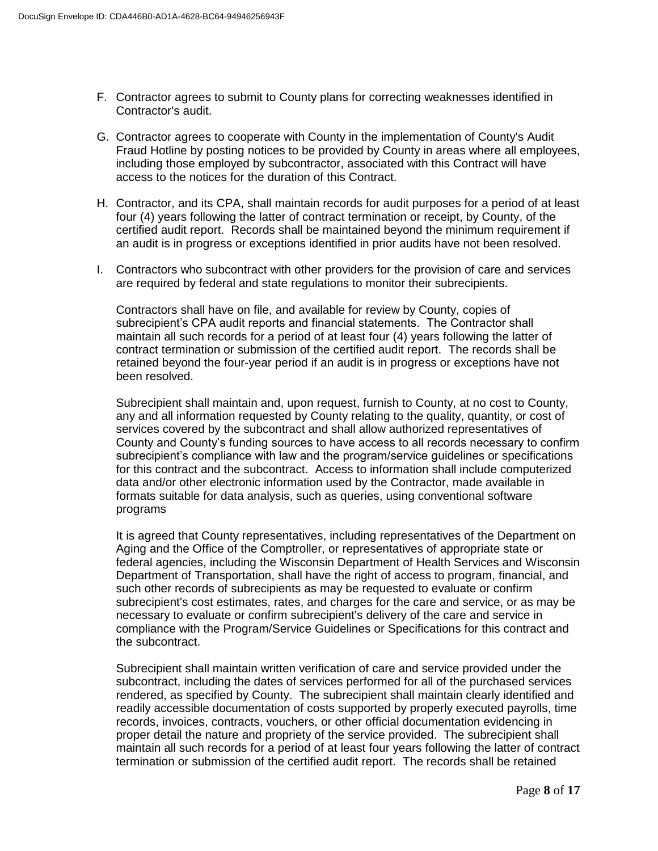- F. Contractor agrees to submit to County plans for correcting weaknesses identified in Contractor's audit.
- G. Contractor agrees to cooperate with County in the implementation of County's Audit Fraud Hotline by posting notices to be provided by County in areas where all employees, including those employed by subcontractor, associated with this Contract will have access to the notices for the duration of this Contract.
- H. Contractor, and its CPA, shall maintain records for audit purposes for a period of at least four (4) years following the latter of contract termination or receipt, by County, of the certified audit report. Records shall be maintained beyond the minimum requirement if an audit is in progress or exceptions identified in prior audits have not been resolved.
- I. Contractors who subcontract with other providers for the provision of care and services are required by federal and state regulations to monitor their subrecipients.

Contractors shall have on file, and available for review by County, copies of subrecipient's CPA audit reports and financial statements. The Contractor shall maintain all such records for a period of at least four (4) years following the latter of contract termination or submission of the certified audit report. The records shall be retained beyond the four-year period if an audit is in progress or exceptions have not been resolved.

Subrecipient shall maintain and, upon request, furnish to County, at no cost to County, any and all information requested by County relating to the quality, quantity, or cost of services covered by the subcontract and shall allow authorized representatives of County and County's funding sources to have access to all records necessary to confirm subrecipient's compliance with law and the program/service guidelines or specifications for this contract and the subcontract. Access to information shall include computerized data and/or other electronic information used by the Contractor, made available in formats suitable for data analysis, such as queries, using conventional software programs

It is agreed that County representatives, including representatives of the Department on Aging and the Office of the Comptroller, or representatives of appropriate state or federal agencies, including the Wisconsin Department of Health Services and Wisconsin Department of Transportation, shall have the right of access to program, financial, and such other records of subrecipients as may be requested to evaluate or confirm subrecipient's cost estimates, rates, and charges for the care and service, or as may be necessary to evaluate or confirm subrecipient's delivery of the care and service in compliance with the Program/Service Guidelines or Specifications for this contract and the subcontract.

Subrecipient shall maintain written verification of care and service provided under the subcontract, including the dates of services performed for all of the purchased services rendered, as specified by County. The subrecipient shall maintain clearly identified and readily accessible documentation of costs supported by properly executed payrolls, time records, invoices, contracts, vouchers, or other official documentation evidencing in proper detail the nature and propriety of the service provided. The subrecipient shall maintain all such records for a period of at least four years following the latter of contract termination or submission of the certified audit report. The records shall be retained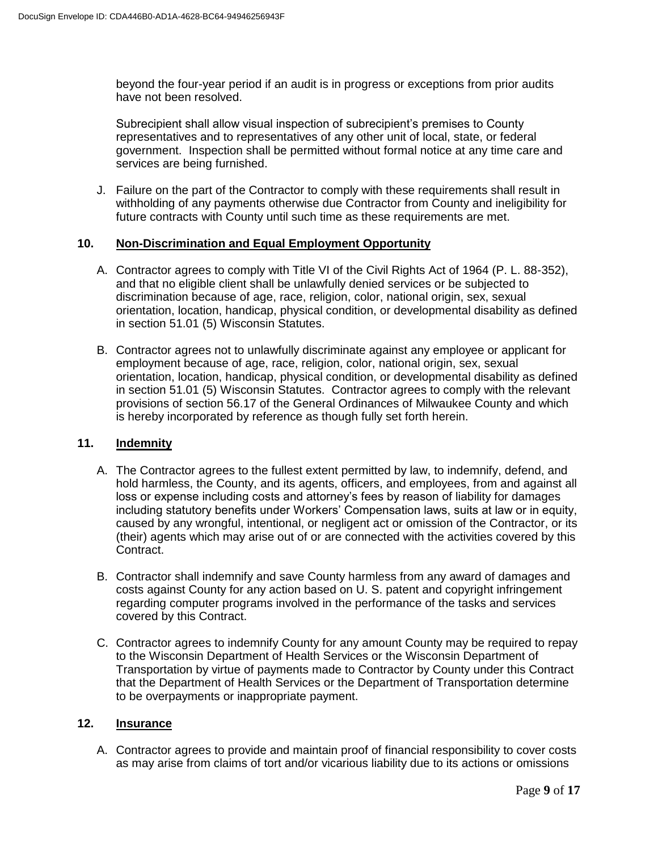beyond the four-year period if an audit is in progress or exceptions from prior audits have not been resolved.

Subrecipient shall allow visual inspection of subrecipient's premises to County representatives and to representatives of any other unit of local, state, or federal government. Inspection shall be permitted without formal notice at any time care and services are being furnished.

J. Failure on the part of the Contractor to comply with these requirements shall result in withholding of any payments otherwise due Contractor from County and ineligibility for future contracts with County until such time as these requirements are met.

# **10. Non-Discrimination and Equal Employment Opportunity**

- A. Contractor agrees to comply with Title VI of the Civil Rights Act of 1964 (P. L. 88-352), and that no eligible client shall be unlawfully denied services or be subjected to discrimination because of age, race, religion, color, national origin, sex, sexual orientation, location, handicap, physical condition, or developmental disability as defined in section 51.01 (5) Wisconsin Statutes.
- B. Contractor agrees not to unlawfully discriminate against any employee or applicant for employment because of age, race, religion, color, national origin, sex, sexual orientation, location, handicap, physical condition, or developmental disability as defined in section 51.01 (5) Wisconsin Statutes. Contractor agrees to comply with the relevant provisions of section 56.17 of the General Ordinances of Milwaukee County and which is hereby incorporated by reference as though fully set forth herein.

# **11. Indemnity**

- A. The Contractor agrees to the fullest extent permitted by law, to indemnify, defend, and hold harmless, the County, and its agents, officers, and employees, from and against all loss or expense including costs and attorney's fees by reason of liability for damages including statutory benefits under Workers' Compensation laws, suits at law or in equity, caused by any wrongful, intentional, or negligent act or omission of the Contractor, or its (their) agents which may arise out of or are connected with the activities covered by this Contract.
- B. Contractor shall indemnify and save County harmless from any award of damages and costs against County for any action based on U. S. patent and copyright infringement regarding computer programs involved in the performance of the tasks and services covered by this Contract.
- C. Contractor agrees to indemnify County for any amount County may be required to repay to the Wisconsin Department of Health Services or the Wisconsin Department of Transportation by virtue of payments made to Contractor by County under this Contract that the Department of Health Services or the Department of Transportation determine to be overpayments or inappropriate payment.

## **12. Insurance**

A. Contractor agrees to provide and maintain proof of financial responsibility to cover costs as may arise from claims of tort and/or vicarious liability due to its actions or omissions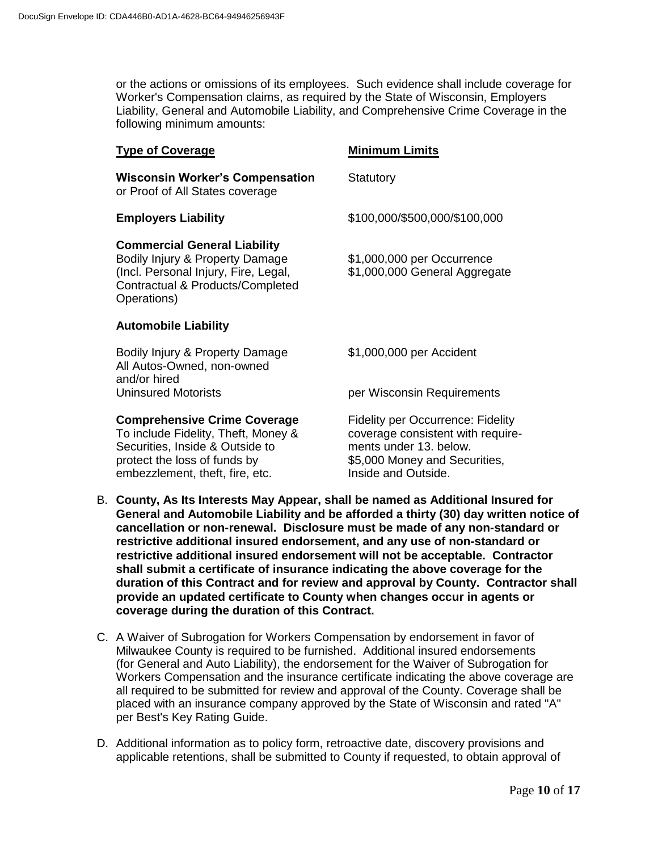or the actions or omissions of its employees. Such evidence shall include coverage for Worker's Compensation claims, as required by the State of Wisconsin, Employers Liability, General and Automobile Liability, and Comprehensive Crime Coverage in the following minimum amounts:

| <b>Type of Coverage</b>                                                                                                                                                          | <b>Minimum Limits</b>                                                                                                                                           |
|----------------------------------------------------------------------------------------------------------------------------------------------------------------------------------|-----------------------------------------------------------------------------------------------------------------------------------------------------------------|
| <b>Wisconsin Worker's Compensation</b><br>or Proof of All States coverage                                                                                                        | Statutory                                                                                                                                                       |
| <b>Employers Liability</b>                                                                                                                                                       | \$100,000/\$500,000/\$100,000                                                                                                                                   |
| <b>Commercial General Liability</b><br>Bodily Injury & Property Damage<br>(Incl. Personal Injury, Fire, Legal,<br>Contractual & Products/Completed<br>Operations)                | \$1,000,000 per Occurrence<br>\$1,000,000 General Aggregate                                                                                                     |
| <b>Automobile Liability</b>                                                                                                                                                      |                                                                                                                                                                 |
| Bodily Injury & Property Damage<br>All Autos-Owned, non-owned<br>and/or hired                                                                                                    | \$1,000,000 per Accident                                                                                                                                        |
| <b>Uninsured Motorists</b>                                                                                                                                                       | per Wisconsin Requirements                                                                                                                                      |
| <b>Comprehensive Crime Coverage</b><br>To include Fidelity, Theft, Money &<br>Securities, Inside & Outside to<br>protect the loss of funds by<br>embezzlement, theft, fire, etc. | <b>Fidelity per Occurrence: Fidelity</b><br>coverage consistent with require-<br>ments under 13, below.<br>\$5,000 Money and Securities,<br>Inside and Outside. |

- B. **County, As Its Interests May Appear, shall be named as Additional Insured for General and Automobile Liability and be afforded a thirty (30) day written notice of cancellation or non-renewal. Disclosure must be made of any non-standard or restrictive additional insured endorsement, and any use of non-standard or restrictive additional insured endorsement will not be acceptable. Contractor shall submit a certificate of insurance indicating the above coverage for the duration of this Contract and for review and approval by County. Contractor shall provide an updated certificate to County when changes occur in agents or coverage during the duration of this Contract.**
- C. A Waiver of Subrogation for Workers Compensation by endorsement in favor of Milwaukee County is required to be furnished. Additional insured endorsements (for General and Auto Liability), the endorsement for the Waiver of Subrogation for Workers Compensation and the insurance certificate indicating the above coverage are all required to be submitted for review and approval of the County. Coverage shall be placed with an insurance company approved by the State of Wisconsin and rated "A" per Best's Key Rating Guide.
- D. Additional information as to policy form, retroactive date, discovery provisions and applicable retentions, shall be submitted to County if requested, to obtain approval of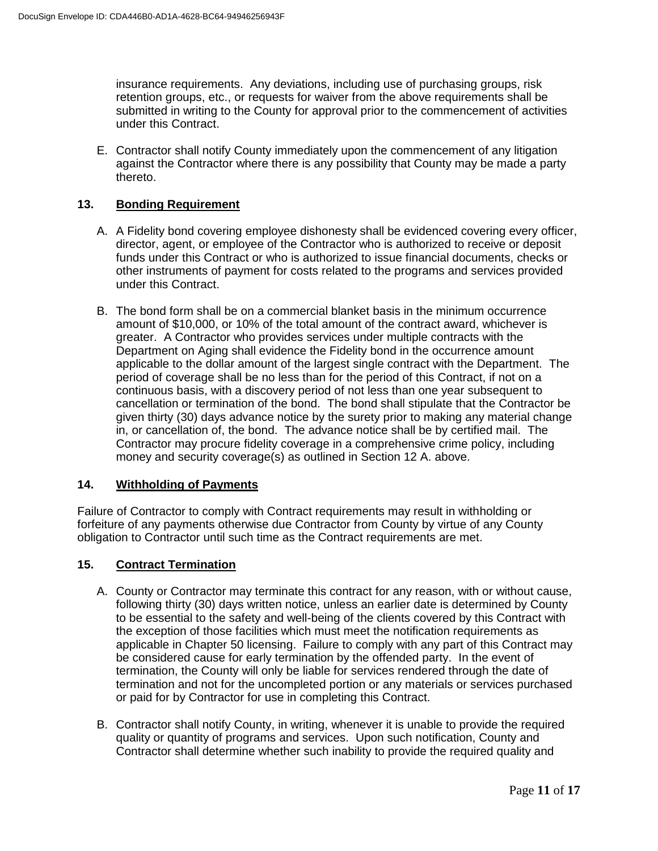insurance requirements. Any deviations, including use of purchasing groups, risk retention groups, etc., or requests for waiver from the above requirements shall be submitted in writing to the County for approval prior to the commencement of activities under this Contract.

E. Contractor shall notify County immediately upon the commencement of any litigation against the Contractor where there is any possibility that County may be made a party thereto.

## **13. Bonding Requirement**

- A. A Fidelity bond covering employee dishonesty shall be evidenced covering every officer, director, agent, or employee of the Contractor who is authorized to receive or deposit funds under this Contract or who is authorized to issue financial documents, checks or other instruments of payment for costs related to the programs and services provided under this Contract.
- B. The bond form shall be on a commercial blanket basis in the minimum occurrence amount of \$10,000, or 10% of the total amount of the contract award, whichever is greater. A Contractor who provides services under multiple contracts with the Department on Aging shall evidence the Fidelity bond in the occurrence amount applicable to the dollar amount of the largest single contract with the Department. The period of coverage shall be no less than for the period of this Contract, if not on a continuous basis, with a discovery period of not less than one year subsequent to cancellation or termination of the bond. The bond shall stipulate that the Contractor be given thirty (30) days advance notice by the surety prior to making any material change in, or cancellation of, the bond. The advance notice shall be by certified mail. The Contractor may procure fidelity coverage in a comprehensive crime policy, including money and security coverage(s) as outlined in Section 12 A. above.

#### **14. Withholding of Payments**

Failure of Contractor to comply with Contract requirements may result in withholding or forfeiture of any payments otherwise due Contractor from County by virtue of any County obligation to Contractor until such time as the Contract requirements are met.

#### **15. Contract Termination**

- A. County or Contractor may terminate this contract for any reason, with or without cause, following thirty (30) days written notice, unless an earlier date is determined by County to be essential to the safety and well-being of the clients covered by this Contract with the exception of those facilities which must meet the notification requirements as applicable in Chapter 50 licensing. Failure to comply with any part of this Contract may be considered cause for early termination by the offended party. In the event of termination, the County will only be liable for services rendered through the date of termination and not for the uncompleted portion or any materials or services purchased or paid for by Contractor for use in completing this Contract.
- B. Contractor shall notify County, in writing, whenever it is unable to provide the required quality or quantity of programs and services. Upon such notification, County and Contractor shall determine whether such inability to provide the required quality and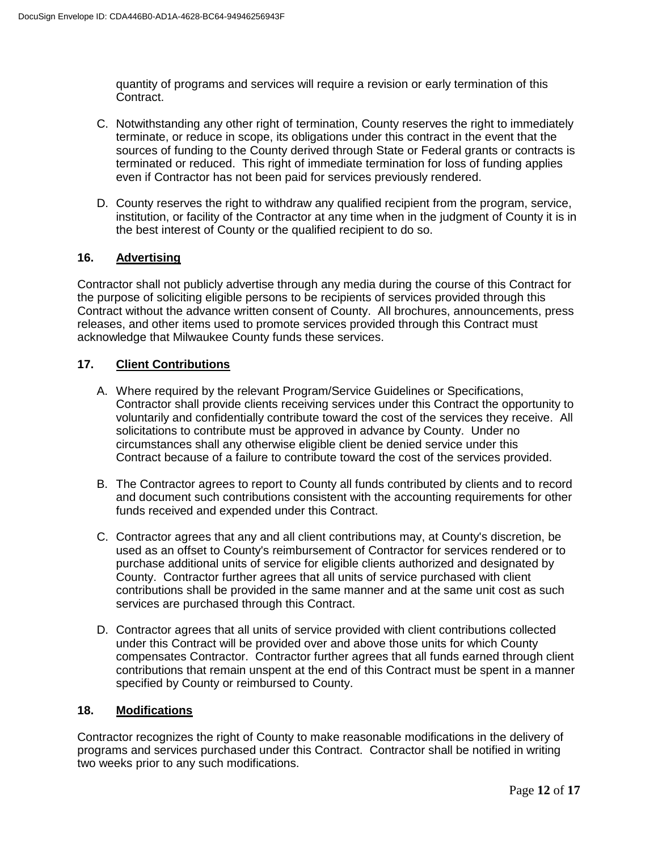quantity of programs and services will require a revision or early termination of this Contract.

- C. Notwithstanding any other right of termination, County reserves the right to immediately terminate, or reduce in scope, its obligations under this contract in the event that the sources of funding to the County derived through State or Federal grants or contracts is terminated or reduced. This right of immediate termination for loss of funding applies even if Contractor has not been paid for services previously rendered.
- D. County reserves the right to withdraw any qualified recipient from the program, service, institution, or facility of the Contractor at any time when in the judgment of County it is in the best interest of County or the qualified recipient to do so.

# **16. Advertising**

Contractor shall not publicly advertise through any media during the course of this Contract for the purpose of soliciting eligible persons to be recipients of services provided through this Contract without the advance written consent of County. All brochures, announcements, press releases, and other items used to promote services provided through this Contract must acknowledge that Milwaukee County funds these services.

# **17. Client Contributions**

- A. Where required by the relevant Program/Service Guidelines or Specifications, Contractor shall provide clients receiving services under this Contract the opportunity to voluntarily and confidentially contribute toward the cost of the services they receive. All solicitations to contribute must be approved in advance by County. Under no circumstances shall any otherwise eligible client be denied service under this Contract because of a failure to contribute toward the cost of the services provided.
- B. The Contractor agrees to report to County all funds contributed by clients and to record and document such contributions consistent with the accounting requirements for other funds received and expended under this Contract.
- C. Contractor agrees that any and all client contributions may, at County's discretion, be used as an offset to County's reimbursement of Contractor for services rendered or to purchase additional units of service for eligible clients authorized and designated by County. Contractor further agrees that all units of service purchased with client contributions shall be provided in the same manner and at the same unit cost as such services are purchased through this Contract.
- D. Contractor agrees that all units of service provided with client contributions collected under this Contract will be provided over and above those units for which County compensates Contractor. Contractor further agrees that all funds earned through client contributions that remain unspent at the end of this Contract must be spent in a manner specified by County or reimbursed to County.

#### **18. Modifications**

Contractor recognizes the right of County to make reasonable modifications in the delivery of programs and services purchased under this Contract. Contractor shall be notified in writing two weeks prior to any such modifications.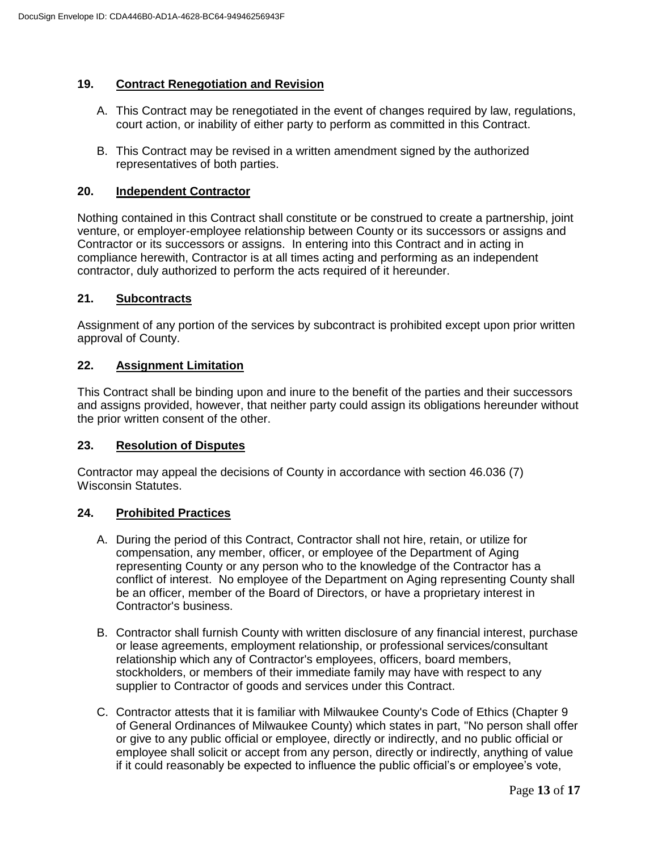## **19. Contract Renegotiation and Revision**

- A. This Contract may be renegotiated in the event of changes required by law, regulations, court action, or inability of either party to perform as committed in this Contract.
- B. This Contract may be revised in a written amendment signed by the authorized representatives of both parties.

#### **20. Independent Contractor**

Nothing contained in this Contract shall constitute or be construed to create a partnership, joint venture, or employer-employee relationship between County or its successors or assigns and Contractor or its successors or assigns. In entering into this Contract and in acting in compliance herewith, Contractor is at all times acting and performing as an independent contractor, duly authorized to perform the acts required of it hereunder.

#### **21. Subcontracts**

Assignment of any portion of the services by subcontract is prohibited except upon prior written approval of County.

#### **22. Assignment Limitation**

This Contract shall be binding upon and inure to the benefit of the parties and their successors and assigns provided, however, that neither party could assign its obligations hereunder without the prior written consent of the other.

#### **23. Resolution of Disputes**

Contractor may appeal the decisions of County in accordance with section 46.036 (7) Wisconsin Statutes.

#### **24. Prohibited Practices**

- A. During the period of this Contract, Contractor shall not hire, retain, or utilize for compensation, any member, officer, or employee of the Department of Aging representing County or any person who to the knowledge of the Contractor has a conflict of interest. No employee of the Department on Aging representing County shall be an officer, member of the Board of Directors, or have a proprietary interest in Contractor's business.
- B. Contractor shall furnish County with written disclosure of any financial interest, purchase or lease agreements, employment relationship, or professional services/consultant relationship which any of Contractor's employees, officers, board members, stockholders, or members of their immediate family may have with respect to any supplier to Contractor of goods and services under this Contract.
- C. Contractor attests that it is familiar with Milwaukee County's Code of Ethics (Chapter 9 of General Ordinances of Milwaukee County) which states in part, "No person shall offer or give to any public official or employee, directly or indirectly, and no public official or employee shall solicit or accept from any person, directly or indirectly, anything of value if it could reasonably be expected to influence the public official's or employee's vote,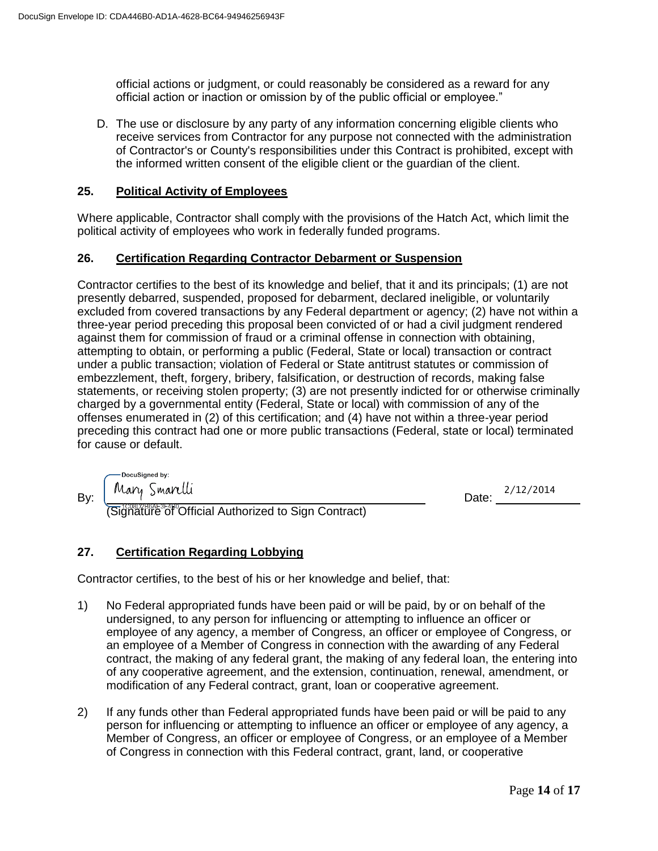official actions or judgment, or could reasonably be considered as a reward for any official action or inaction or omission by of the public official or employee."

D. The use or disclosure by any party of any information concerning eligible clients who receive services from Contractor for any purpose not connected with the administration of Contractor's or County's responsibilities under this Contract is prohibited, except with the informed written consent of the eligible client or the guardian of the client.

### **25. Political Activity of Employees**

Where applicable, Contractor shall comply with the provisions of the Hatch Act, which limit the political activity of employees who work in federally funded programs.

## **26. Certification Regarding Contractor Debarment or Suspension**

Contractor certifies to the best of its knowledge and belief, that it and its principals; (1) are not presently debarred, suspended, proposed for debarment, declared ineligible, or voluntarily excluded from covered transactions by any Federal department or agency; (2) have not within a three-year period preceding this proposal been convicted of or had a civil judgment rendered against them for commission of fraud or a criminal offense in connection with obtaining, attempting to obtain, or performing a public (Federal, State or local) transaction or contract under a public transaction; violation of Federal or State antitrust statutes or commission of embezzlement, theft, forgery, bribery, falsification, or destruction of records, making false statements, or receiving stolen property; (3) are not presently indicted for or otherwise criminally charged by a governmental entity (Federal, State or local) with commission of any of the offenses enumerated in (2) of this certification; and (4) have not within a three-year period preceding this contract had one or more public transactions (Federal, state or local) terminated for cause or default.

 $\mathsf{By:} \begin{bmatrix} 1 & 0 & 0 \\ 0 & 0 & 0 \end{bmatrix}$  Date:

(Signature of Official Authorized to Sign Contract)

Date: 2/12/2014

# **27. Certification Regarding Lobbying**

Contractor certifies, to the best of his or her knowledge and belief, that:

- 1) No Federal appropriated funds have been paid or will be paid, by or on behalf of the undersigned, to any person for influencing or attempting to influence an officer or employee of any agency, a member of Congress, an officer or employee of Congress, or an employee of a Member of Congress in connection with the awarding of any Federal contract, the making of any federal grant, the making of any federal loan, the entering into of any cooperative agreement, and the extension, continuation, renewal, amendment, or modification of any Federal contract, grant, loan or cooperative agreement.
- 2) If any funds other than Federal appropriated funds have been paid or will be paid to any person for influencing or attempting to influence an officer or employee of any agency, a Member of Congress, an officer or employee of Congress, or an employee of a Member of Congress in connection with this Federal contract, grant, land, or cooperative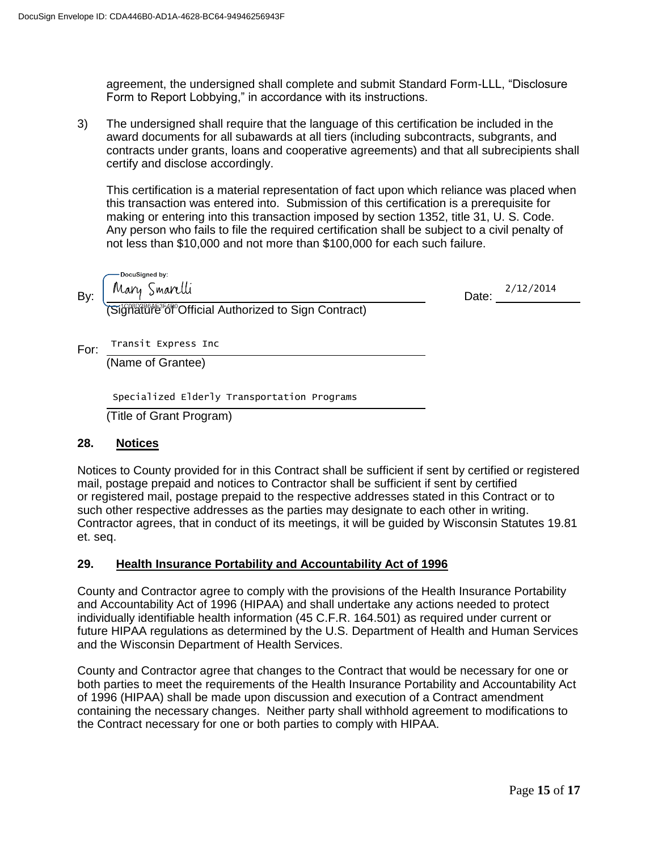agreement, the undersigned shall complete and submit Standard Form-LLL, "Disclosure Form to Report Lobbying," in accordance with its instructions.

3) The undersigned shall require that the language of this certification be included in the award documents for all subawards at all tiers (including subcontracts, subgrants, and contracts under grants, loans and cooperative agreements) and that all subrecipients shall certify and disclose accordingly.

This certification is a material representation of fact upon which reliance was placed when this transaction was entered into. Submission of this certification is a prerequisite for making or entering into this transaction imposed by section 1352, title 31, U. S. Code. Any person who fails to file the required certification shall be subject to a civil penalty of not less than \$10,000 and not more than \$100,000 for each such failure.

DocuSigned by:  $By: \begin{bmatrix} \text{real } q & \text{real } q \\ \text{real } q & \text{real } q \end{bmatrix}$  Date:

Date: 2/12/2014

(Signature<sup>3</sup>6f<sup>o</sup>Official Authorized to Sign Contract)

For: Transit Express Inc

(Name of Grantee)

Specialized Elderly Transportation Programs

(Title of Grant Program)

# **28. Notices**

Notices to County provided for in this Contract shall be sufficient if sent by certified or registered mail, postage prepaid and notices to Contractor shall be sufficient if sent by certified or registered mail, postage prepaid to the respective addresses stated in this Contract or to such other respective addresses as the parties may designate to each other in writing. Contractor agrees, that in conduct of its meetings, it will be guided by Wisconsin Statutes 19.81 et. seq.

# **29. Health Insurance Portability and Accountability Act of 1996**

County and Contractor agree to comply with the provisions of the Health Insurance Portability and Accountability Act of 1996 (HIPAA) and shall undertake any actions needed to protect individually identifiable health information (45 C.F.R. 164.501) as required under current or future HIPAA regulations as determined by the U.S. Department of Health and Human Services and the Wisconsin Department of Health Services.

County and Contractor agree that changes to the Contract that would be necessary for one or both parties to meet the requirements of the Health Insurance Portability and Accountability Act of 1996 (HIPAA) shall be made upon discussion and execution of a Contract amendment containing the necessary changes. Neither party shall withhold agreement to modifications to the Contract necessary for one or both parties to comply with HIPAA.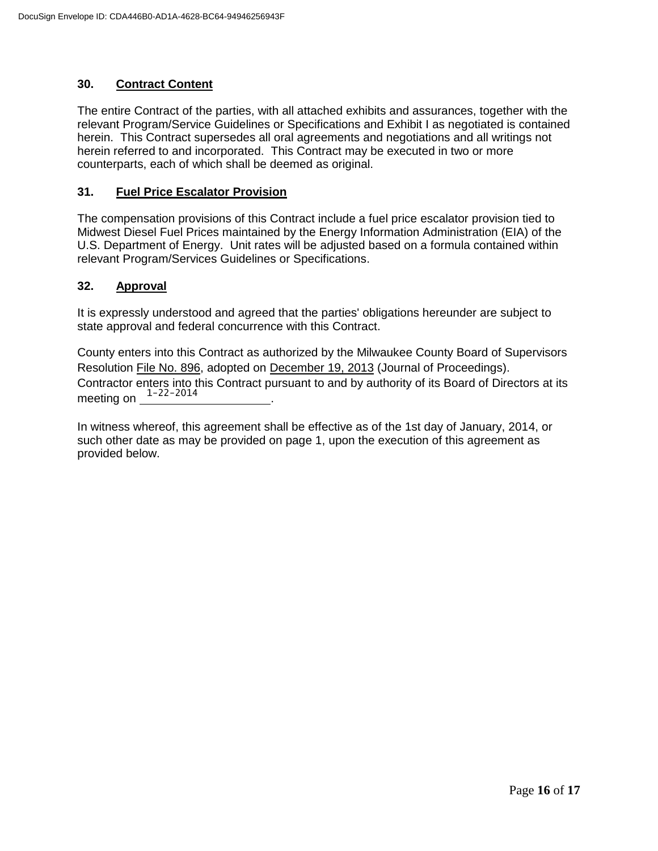## **30. Contract Content**

The entire Contract of the parties, with all attached exhibits and assurances, together with the relevant Program/Service Guidelines or Specifications and Exhibit I as negotiated is contained herein. This Contract supersedes all oral agreements and negotiations and all writings not herein referred to and incorporated. This Contract may be executed in two or more counterparts, each of which shall be deemed as original.

### **31. Fuel Price Escalator Provision**

The compensation provisions of this Contract include a fuel price escalator provision tied to Midwest Diesel Fuel Prices maintained by the Energy Information Administration (EIA) of the U.S. Department of Energy. Unit rates will be adjusted based on a formula contained within relevant Program/Services Guidelines or Specifications.

## **32. Approval**

It is expressly understood and agreed that the parties' obligations hereunder are subject to state approval and federal concurrence with this Contract.

County enters into this Contract as authorized by the Milwaukee County Board of Supervisors Resolution File No. 896, adopted on December 19, 2013 (Journal of Proceedings). Contractor enters into this Contract pursuant to and by authority of its Board of Directors at its meeting on  $\frac{1-22-2014}{\cdot}$ .

In witness whereof, this agreement shall be effective as of the 1st day of January, 2014, or such other date as may be provided on page 1, upon the execution of this agreement as provided below.